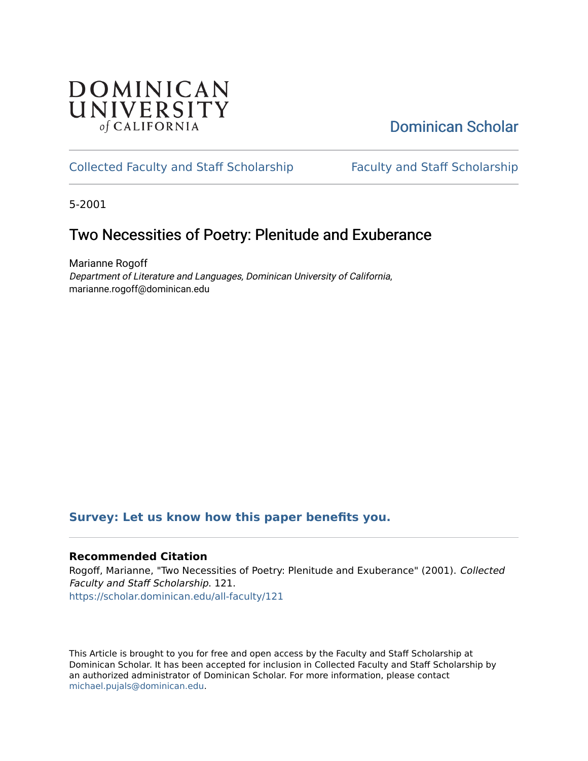## **DOMINICAN** UNIVERSITY of CALIFORNIA

# [Dominican Scholar](https://scholar.dominican.edu/)

## [Collected Faculty and Staff Scholarship](https://scholar.dominican.edu/all-faculty) [Faculty and Staff Scholarship](https://scholar.dominican.edu/faculty-scholarship)

5-2001

# Two Necessities of Poetry: Plenitude and Exuberance

Marianne Rogoff Department of Literature and Languages, Dominican University of California, marianne.rogoff@dominican.edu

### **[Survey: Let us know how this paper benefits you.](https://dominican.libwizard.com/dominican-scholar-feedback)**

### **Recommended Citation**

Rogoff, Marianne, "Two Necessities of Poetry: Plenitude and Exuberance" (2001). Collected Faculty and Staff Scholarship. 121. [https://scholar.dominican.edu/all-faculty/121](https://scholar.dominican.edu/all-faculty/121?utm_source=scholar.dominican.edu%2Fall-faculty%2F121&utm_medium=PDF&utm_campaign=PDFCoverPages) 

This Article is brought to you for free and open access by the Faculty and Staff Scholarship at Dominican Scholar. It has been accepted for inclusion in Collected Faculty and Staff Scholarship by an authorized administrator of Dominican Scholar. For more information, please contact [michael.pujals@dominican.edu.](mailto:michael.pujals@dominican.edu)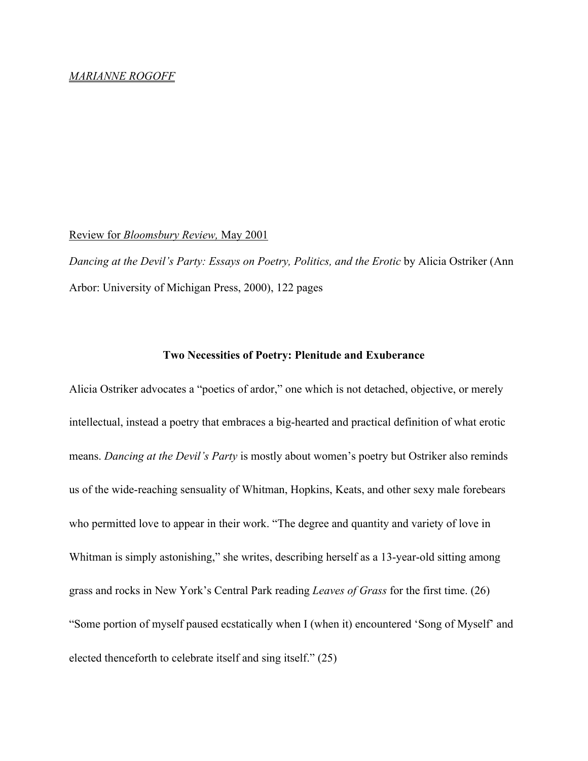#### *MARIANNE ROGOFF*

#### Review for *Bloomsbury Review,* May 2001

*Dancing at the Devil's Party: Essays on Poetry, Politics, and the Erotic* by Alicia Ostriker (Ann Arbor: University of Michigan Press, 2000), 122 pages

### **Two Necessities of Poetry: Plenitude and Exuberance**

Alicia Ostriker advocates a "poetics of ardor," one which is not detached, objective, or merely intellectual, instead a poetry that embraces a big-hearted and practical definition of what erotic means. *Dancing at the Devil's Party* is mostly about women's poetry but Ostriker also reminds us of the wide-reaching sensuality of Whitman, Hopkins, Keats, and other sexy male forebears who permitted love to appear in their work. "The degree and quantity and variety of love in Whitman is simply astonishing," she writes, describing herself as a 13-year-old sitting among grass and rocks in New York's Central Park reading *Leaves of Grass* for the first time. (26) "Some portion of myself paused ecstatically when I (when it) encountered 'Song of Myself' and elected thenceforth to celebrate itself and sing itself." (25)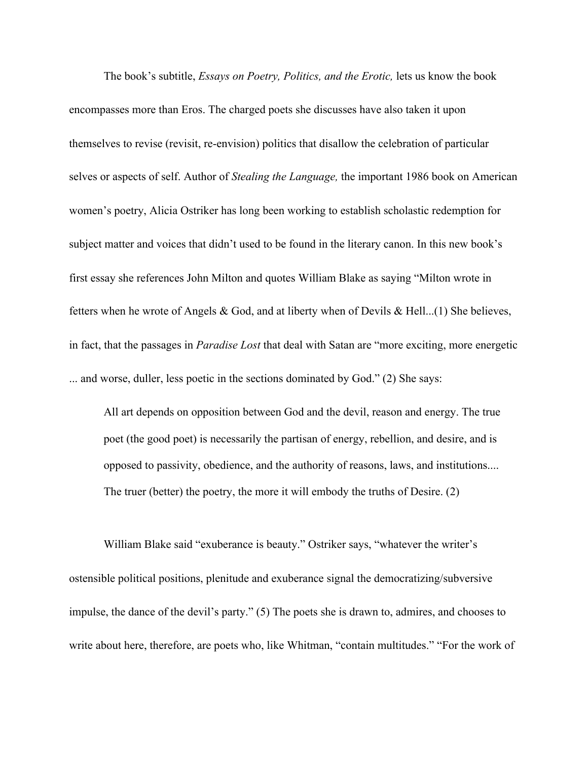The book's subtitle, *Essays on Poetry, Politics, and the Erotic,* lets us know the book encompasses more than Eros. The charged poets she discusses have also taken it upon themselves to revise (revisit, re-envision) politics that disallow the celebration of particular selves or aspects of self. Author of *Stealing the Language,* the important 1986 book on American women's poetry, Alicia Ostriker has long been working to establish scholastic redemption for subject matter and voices that didn't used to be found in the literary canon. In this new book's first essay she references John Milton and quotes William Blake as saying "Milton wrote in fetters when he wrote of Angels & God, and at liberty when of Devils & Hell...(1) She believes, in fact, that the passages in *Paradise Lost* that deal with Satan are "more exciting, more energetic ... and worse, duller, less poetic in the sections dominated by God." (2) She says:

All art depends on opposition between God and the devil, reason and energy. The true poet (the good poet) is necessarily the partisan of energy, rebellion, and desire, and is opposed to passivity, obedience, and the authority of reasons, laws, and institutions.... The truer (better) the poetry, the more it will embody the truths of Desire. (2)

William Blake said "exuberance is beauty." Ostriker says, "whatever the writer's ostensible political positions, plenitude and exuberance signal the democratizing/subversive impulse, the dance of the devil's party." (5) The poets she is drawn to, admires, and chooses to write about here, therefore, are poets who, like Whitman, "contain multitudes." "For the work of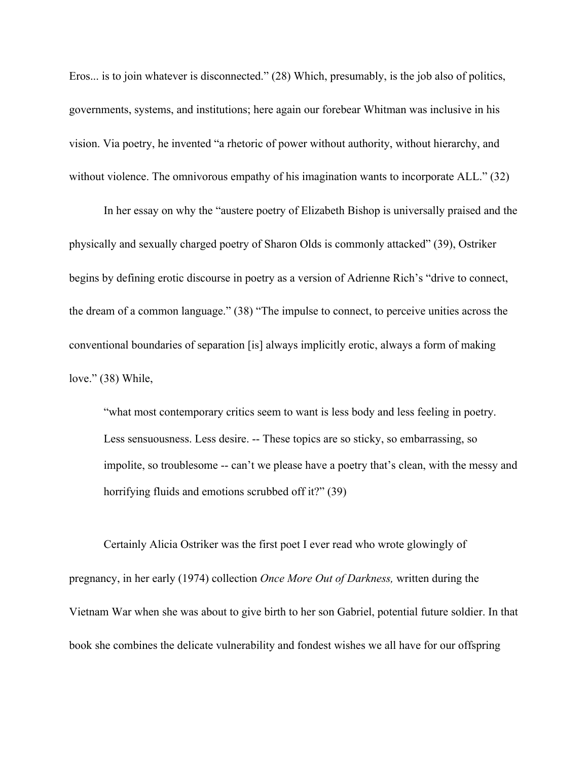Eros... is to join whatever is disconnected." (28) Which, presumably, is the job also of politics, governments, systems, and institutions; here again our forebear Whitman was inclusive in his vision. Via poetry, he invented "a rhetoric of power without authority, without hierarchy, and without violence. The omnivorous empathy of his imagination wants to incorporate ALL." (32)

In her essay on why the "austere poetry of Elizabeth Bishop is universally praised and the physically and sexually charged poetry of Sharon Olds is commonly attacked" (39), Ostriker begins by defining erotic discourse in poetry as a version of Adrienne Rich's "drive to connect, the dream of a common language." (38) "The impulse to connect, to perceive unities across the conventional boundaries of separation [is] always implicitly erotic, always a form of making love." (38) While,

"what most contemporary critics seem to want is less body and less feeling in poetry. Less sensuousness. Less desire. -- These topics are so sticky, so embarrassing, so impolite, so troublesome -- can't we please have a poetry that's clean, with the messy and horrifying fluids and emotions scrubbed off it?" (39)

Certainly Alicia Ostriker was the first poet I ever read who wrote glowingly of pregnancy, in her early (1974) collection *Once More Out of Darkness,* written during the Vietnam War when she was about to give birth to her son Gabriel, potential future soldier. In that book she combines the delicate vulnerability and fondest wishes we all have for our offspring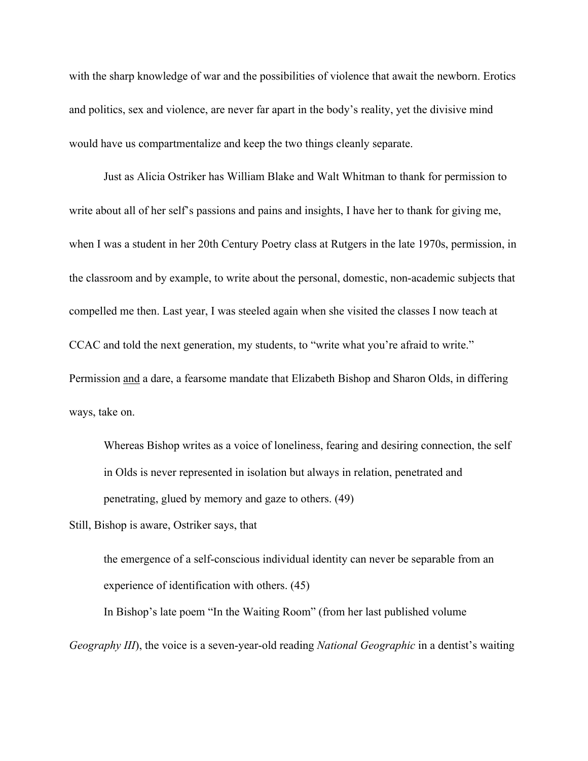with the sharp knowledge of war and the possibilities of violence that await the newborn. Erotics and politics, sex and violence, are never far apart in the body's reality, yet the divisive mind would have us compartmentalize and keep the two things cleanly separate.

Just as Alicia Ostriker has William Blake and Walt Whitman to thank for permission to write about all of her self's passions and pains and insights, I have her to thank for giving me, when I was a student in her 20th Century Poetry class at Rutgers in the late 1970s, permission, in the classroom and by example, to write about the personal, domestic, non-academic subjects that compelled me then. Last year, I was steeled again when she visited the classes I now teach at CCAC and told the next generation, my students, to "write what you're afraid to write." Permission and a dare, a fearsome mandate that Elizabeth Bishop and Sharon Olds, in differing ways, take on.

Whereas Bishop writes as a voice of loneliness, fearing and desiring connection, the self in Olds is never represented in isolation but always in relation, penetrated and penetrating, glued by memory and gaze to others. (49)

Still, Bishop is aware, Ostriker says, that

the emergence of a self-conscious individual identity can never be separable from an experience of identification with others. (45)

In Bishop's late poem "In the Waiting Room" (from her last published volume *Geography III*), the voice is a seven-year-old reading *National Geographic* in a dentist's waiting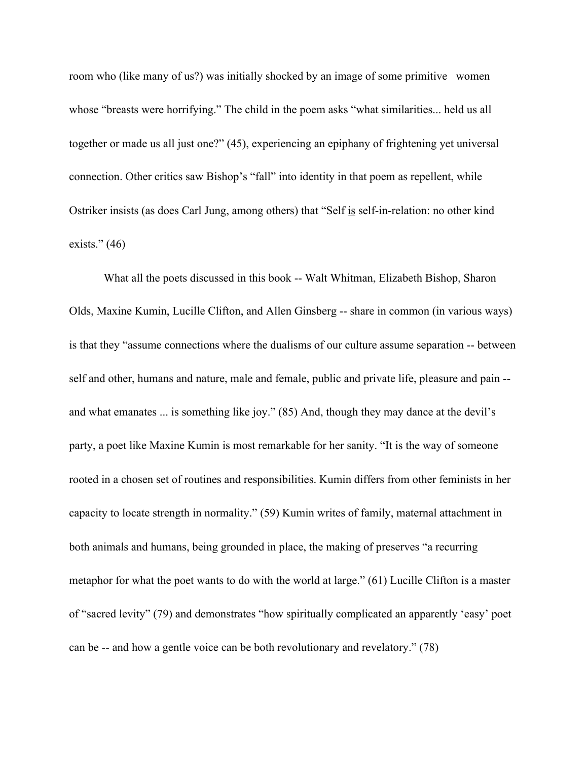room who (like many of us?) was initially shocked by an image of some primitive women whose "breasts were horrifying." The child in the poem asks "what similarities... held us all together or made us all just one?" (45), experiencing an epiphany of frightening yet universal connection. Other critics saw Bishop's "fall" into identity in that poem as repellent, while Ostriker insists (as does Carl Jung, among others) that "Self is self-in-relation: no other kind exists."  $(46)$ 

What all the poets discussed in this book -- Walt Whitman, Elizabeth Bishop, Sharon Olds, Maxine Kumin, Lucille Clifton, and Allen Ginsberg -- share in common (in various ways) is that they "assume connections where the dualisms of our culture assume separation -- between self and other, humans and nature, male and female, public and private life, pleasure and pain - and what emanates ... is something like joy." (85) And, though they may dance at the devil's party, a poet like Maxine Kumin is most remarkable for her sanity. "It is the way of someone rooted in a chosen set of routines and responsibilities. Kumin differs from other feminists in her capacity to locate strength in normality." (59) Kumin writes of family, maternal attachment in both animals and humans, being grounded in place, the making of preserves "a recurring metaphor for what the poet wants to do with the world at large." (61) Lucille Clifton is a master of "sacred levity" (79) and demonstrates "how spiritually complicated an apparently 'easy' poet can be -- and how a gentle voice can be both revolutionary and revelatory." (78)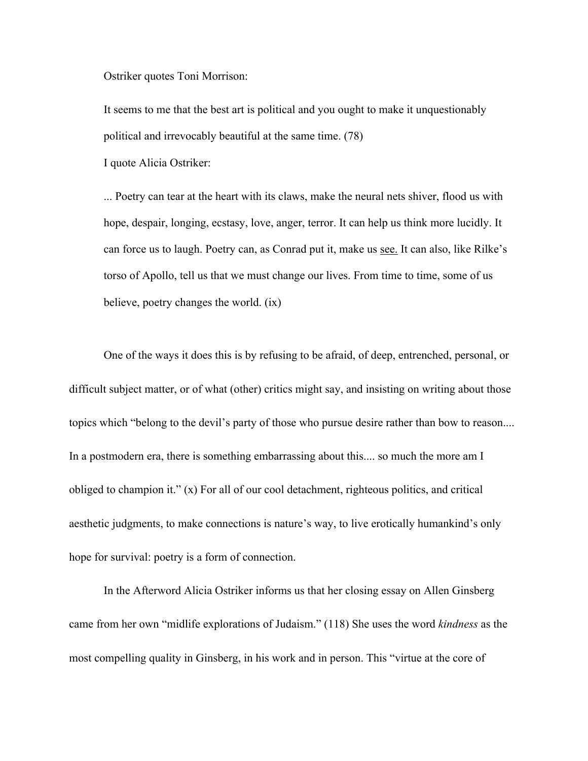Ostriker quotes Toni Morrison:

It seems to me that the best art is political and you ought to make it unquestionably political and irrevocably beautiful at the same time. (78)

I quote Alicia Ostriker:

... Poetry can tear at the heart with its claws, make the neural nets shiver, flood us with hope, despair, longing, ecstasy, love, anger, terror. It can help us think more lucidly. It can force us to laugh. Poetry can, as Conrad put it, make us see. It can also, like Rilke's torso of Apollo, tell us that we must change our lives. From time to time, some of us believe, poetry changes the world. (ix)

One of the ways it does this is by refusing to be afraid, of deep, entrenched, personal, or difficult subject matter, or of what (other) critics might say, and insisting on writing about those topics which "belong to the devil's party of those who pursue desire rather than bow to reason.... In a postmodern era, there is something embarrassing about this.... so much the more am I obliged to champion it." (x) For all of our cool detachment, righteous politics, and critical aesthetic judgments, to make connections is nature's way, to live erotically humankind's only hope for survival: poetry is a form of connection.

In the Afterword Alicia Ostriker informs us that her closing essay on Allen Ginsberg came from her own "midlife explorations of Judaism." (118) She uses the word *kindness* as the most compelling quality in Ginsberg, in his work and in person. This "virtue at the core of